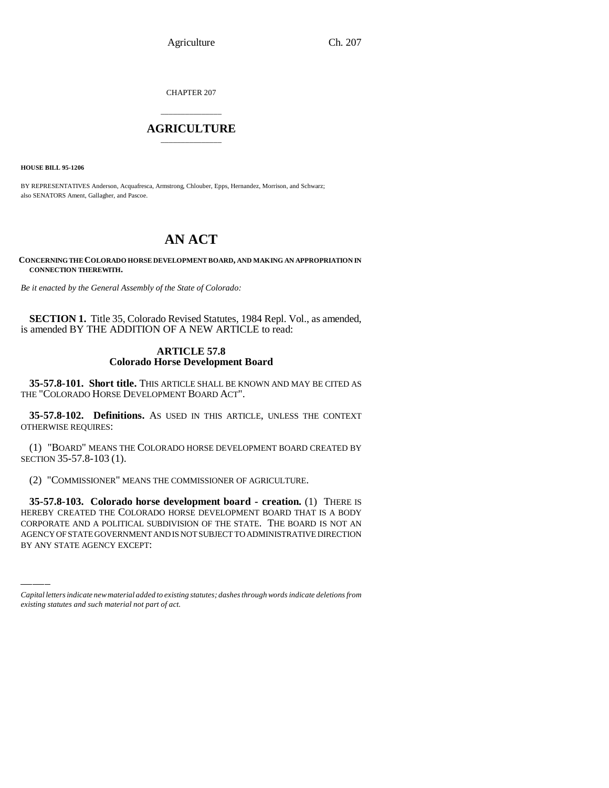Agriculture Ch. 207

CHAPTER 207

# \_\_\_\_\_\_\_\_\_\_\_\_\_\_\_ **AGRICULTURE** \_\_\_\_\_\_\_\_\_\_\_\_\_\_\_

**HOUSE BILL 95-1206**

BY REPRESENTATIVES Anderson, Acquafresca, Armstrong, Chlouber, Epps, Hernandez, Morrison, and Schwarz; also SENATORS Ament, Gallagher, and Pascoe.

# **AN ACT**

**CONCERNING THE COLORADO HORSE DEVELOPMENT BOARD, AND MAKING AN APPROPRIATION IN CONNECTION THEREWITH.**

*Be it enacted by the General Assembly of the State of Colorado:*

**SECTION 1.** Title 35, Colorado Revised Statutes, 1984 Repl. Vol., as amended, is amended BY THE ADDITION OF A NEW ARTICLE to read:

## **ARTICLE 57.8 Colorado Horse Development Board**

**35-57.8-101. Short title.** THIS ARTICLE SHALL BE KNOWN AND MAY BE CITED AS THE "COLORADO HORSE DEVELOPMENT BOARD ACT".

**35-57.8-102. Definitions.** AS USED IN THIS ARTICLE, UNLESS THE CONTEXT OTHERWISE REQUIRES:

(1) "BOARD" MEANS THE COLORADO HORSE DEVELOPMENT BOARD CREATED BY SECTION 35-57.8-103 (1).

(2) "COMMISSIONER" MEANS THE COMMISSIONER OF AGRICULTURE.

HEREBY CREATED THE COLORADO HORSE DEVELOPMENT BOARD THAT IS A BODY **35-57.8-103. Colorado horse development board - creation.** (1) THERE IS CORPORATE AND A POLITICAL SUBDIVISION OF THE STATE. THE BOARD IS NOT AN AGENCY OF STATE GOVERNMENT AND IS NOT SUBJECT TO ADMINISTRATIVE DIRECTION BY ANY STATE AGENCY EXCEPT:

*Capital letters indicate new material added to existing statutes; dashes through words indicate deletions from existing statutes and such material not part of act.*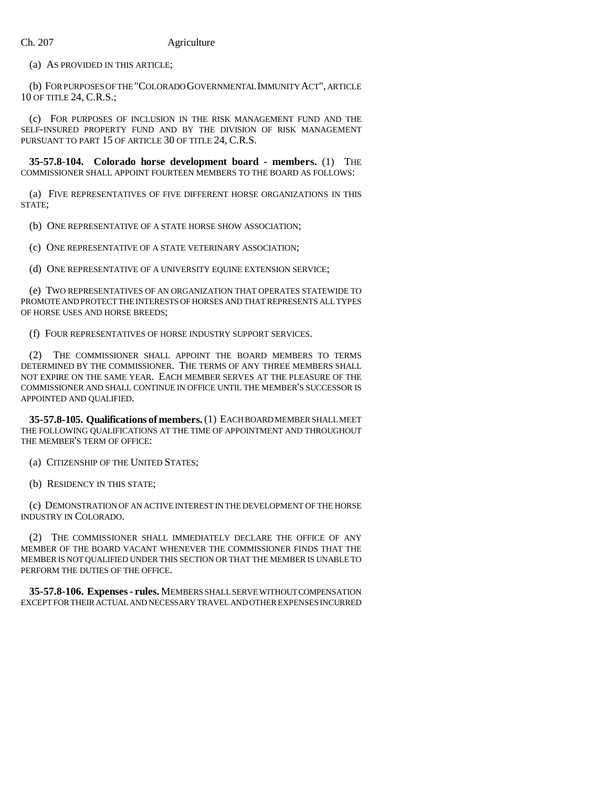(a) AS PROVIDED IN THIS ARTICLE;

(b) FOR PURPOSES OF THE "COLORADO GOVERNMENTAL IMMUNITY ACT", ARTICLE 10 OF TITLE 24, C.R.S.;

(c) FOR PURPOSES OF INCLUSION IN THE RISK MANAGEMENT FUND AND THE SELF-INSURED PROPERTY FUND AND BY THE DIVISION OF RISK MANAGEMENT PURSUANT TO PART 15 OF ARTICLE 30 OF TITLE 24, C.R.S.

**35-57.8-104. Colorado horse development board - members.** (1) THE COMMISSIONER SHALL APPOINT FOURTEEN MEMBERS TO THE BOARD AS FOLLOWS:

(a) FIVE REPRESENTATIVES OF FIVE DIFFERENT HORSE ORGANIZATIONS IN THIS STATE;

(b) ONE REPRESENTATIVE OF A STATE HORSE SHOW ASSOCIATION;

(c) ONE REPRESENTATIVE OF A STATE VETERINARY ASSOCIATION;

(d) ONE REPRESENTATIVE OF A UNIVERSITY EQUINE EXTENSION SERVICE;

(e) TWO REPRESENTATIVES OF AN ORGANIZATION THAT OPERATES STATEWIDE TO PROMOTE AND PROTECT THE INTERESTS OF HORSES AND THAT REPRESENTS ALL TYPES OF HORSE USES AND HORSE BREEDS;

(f) FOUR REPRESENTATIVES OF HORSE INDUSTRY SUPPORT SERVICES.

(2) THE COMMISSIONER SHALL APPOINT THE BOARD MEMBERS TO TERMS DETERMINED BY THE COMMISSIONER. THE TERMS OF ANY THREE MEMBERS SHALL NOT EXPIRE ON THE SAME YEAR. EACH MEMBER SERVES AT THE PLEASURE OF THE COMMISSIONER AND SHALL CONTINUE IN OFFICE UNTIL THE MEMBER'S SUCCESSOR IS APPOINTED AND QUALIFIED.

**35-57.8-105. Qualifications of members.** (1) EACH BOARD MEMBER SHALL MEET THE FOLLOWING QUALIFICATIONS AT THE TIME OF APPOINTMENT AND THROUGHOUT THE MEMBER'S TERM OF OFFICE:

(a) CITIZENSHIP OF THE UNITED STATES;

(b) RESIDENCY IN THIS STATE;

(c) DEMONSTRATION OF AN ACTIVE INTEREST IN THE DEVELOPMENT OF THE HORSE INDUSTRY IN COLORADO.

(2) THE COMMISSIONER SHALL IMMEDIATELY DECLARE THE OFFICE OF ANY MEMBER OF THE BOARD VACANT WHENEVER THE COMMISSIONER FINDS THAT THE MEMBER IS NOT QUALIFIED UNDER THIS SECTION OR THAT THE MEMBER IS UNABLE TO PERFORM THE DUTIES OF THE OFFICE.

**35-57.8-106. Expenses - rules.** MEMBERS SHALL SERVE WITHOUT COMPENSATION EXCEPT FOR THEIR ACTUAL AND NECESSARY TRAVEL AND OTHER EXPENSES INCURRED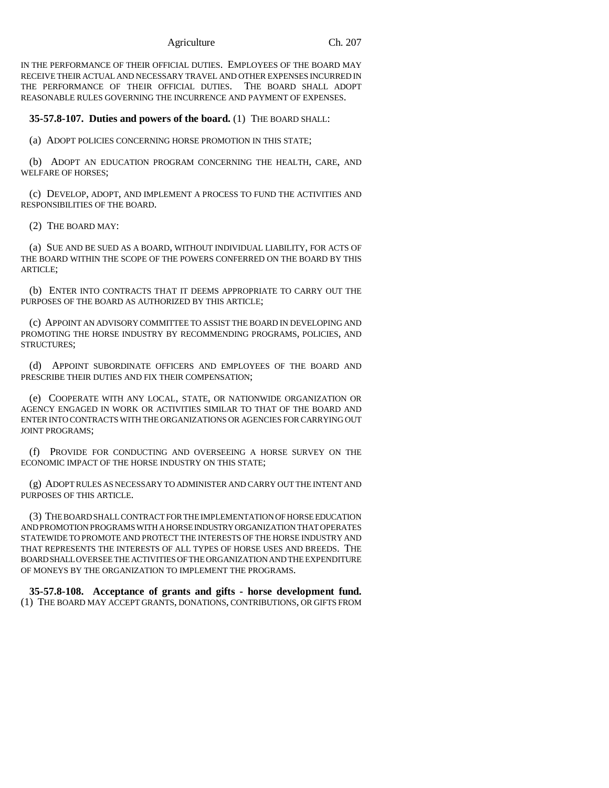Agriculture Ch. 207

IN THE PERFORMANCE OF THEIR OFFICIAL DUTIES. EMPLOYEES OF THE BOARD MAY RECEIVE THEIR ACTUAL AND NECESSARY TRAVEL AND OTHER EXPENSES INCURRED IN THE PERFORMANCE OF THEIR OFFICIAL DUTIES. THE BOARD SHALL ADOPT REASONABLE RULES GOVERNING THE INCURRENCE AND PAYMENT OF EXPENSES.

### **35-57.8-107. Duties and powers of the board.** (1) THE BOARD SHALL:

(a) ADOPT POLICIES CONCERNING HORSE PROMOTION IN THIS STATE;

(b) ADOPT AN EDUCATION PROGRAM CONCERNING THE HEALTH, CARE, AND WELFARE OF HORSES;

(c) DEVELOP, ADOPT, AND IMPLEMENT A PROCESS TO FUND THE ACTIVITIES AND RESPONSIBILITIES OF THE BOARD.

(2) THE BOARD MAY:

(a) SUE AND BE SUED AS A BOARD, WITHOUT INDIVIDUAL LIABILITY, FOR ACTS OF THE BOARD WITHIN THE SCOPE OF THE POWERS CONFERRED ON THE BOARD BY THIS ARTICLE;

(b) ENTER INTO CONTRACTS THAT IT DEEMS APPROPRIATE TO CARRY OUT THE PURPOSES OF THE BOARD AS AUTHORIZED BY THIS ARTICLE;

(c) APPOINT AN ADVISORY COMMITTEE TO ASSIST THE BOARD IN DEVELOPING AND PROMOTING THE HORSE INDUSTRY BY RECOMMENDING PROGRAMS, POLICIES, AND STRUCTURES;

(d) APPOINT SUBORDINATE OFFICERS AND EMPLOYEES OF THE BOARD AND PRESCRIBE THEIR DUTIES AND FIX THEIR COMPENSATION;

(e) COOPERATE WITH ANY LOCAL, STATE, OR NATIONWIDE ORGANIZATION OR AGENCY ENGAGED IN WORK OR ACTIVITIES SIMILAR TO THAT OF THE BOARD AND ENTER INTO CONTRACTS WITH THE ORGANIZATIONS OR AGENCIES FOR CARRYING OUT JOINT PROGRAMS;

(f) PROVIDE FOR CONDUCTING AND OVERSEEING A HORSE SURVEY ON THE ECONOMIC IMPACT OF THE HORSE INDUSTRY ON THIS STATE;

(g) ADOPT RULES AS NECESSARY TO ADMINISTER AND CARRY OUT THE INTENT AND PURPOSES OF THIS ARTICLE.

(3) THE BOARD SHALL CONTRACT FOR THE IMPLEMENTATION OF HORSE EDUCATION AND PROMOTION PROGRAMS WITH A HORSE INDUSTRY ORGANIZATION THAT OPERATES STATEWIDE TO PROMOTE AND PROTECT THE INTERESTS OF THE HORSE INDUSTRY AND THAT REPRESENTS THE INTERESTS OF ALL TYPES OF HORSE USES AND BREEDS. THE BOARD SHALL OVERSEE THE ACTIVITIES OF THE ORGANIZATION AND THE EXPENDITURE OF MONEYS BY THE ORGANIZATION TO IMPLEMENT THE PROGRAMS.

**35-57.8-108. Acceptance of grants and gifts - horse development fund.** (1) THE BOARD MAY ACCEPT GRANTS, DONATIONS, CONTRIBUTIONS, OR GIFTS FROM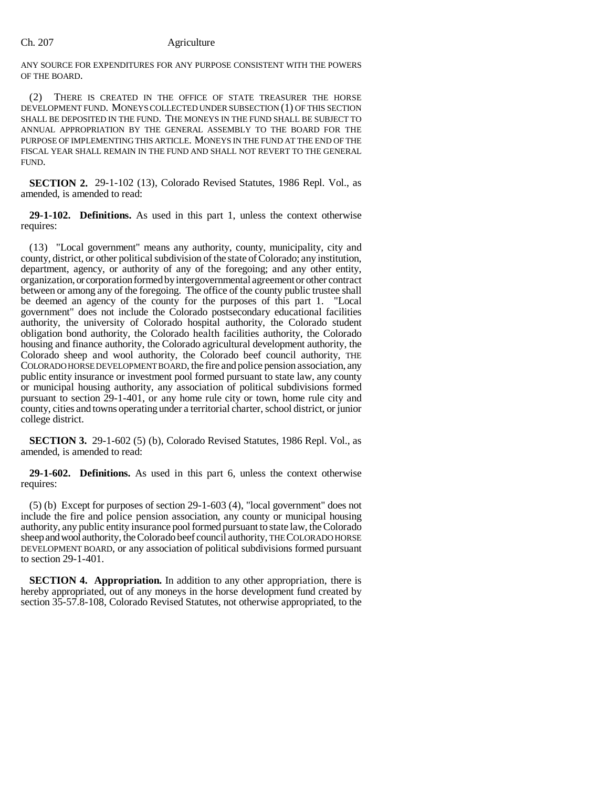#### Ch. 207 Agriculture

ANY SOURCE FOR EXPENDITURES FOR ANY PURPOSE CONSISTENT WITH THE POWERS OF THE BOARD.

(2) THERE IS CREATED IN THE OFFICE OF STATE TREASURER THE HORSE DEVELOPMENT FUND. MONEYS COLLECTED UNDER SUBSECTION (1) OF THIS SECTION SHALL BE DEPOSITED IN THE FUND. THE MONEYS IN THE FUND SHALL BE SUBJECT TO ANNUAL APPROPRIATION BY THE GENERAL ASSEMBLY TO THE BOARD FOR THE PURPOSE OF IMPLEMENTING THIS ARTICLE. MONEYS IN THE FUND AT THE END OF THE FISCAL YEAR SHALL REMAIN IN THE FUND AND SHALL NOT REVERT TO THE GENERAL FUND.

**SECTION 2.** 29-1-102 (13), Colorado Revised Statutes, 1986 Repl. Vol., as amended, is amended to read:

**29-1-102. Definitions.** As used in this part 1, unless the context otherwise requires:

(13) "Local government" means any authority, county, municipality, city and county, district, or other political subdivision of the state of Colorado; any institution, department, agency, or authority of any of the foregoing; and any other entity, organization, or corporation formed by intergovernmental agreement or other contract between or among any of the foregoing. The office of the county public trustee shall be deemed an agency of the county for the purposes of this part 1. "Local government" does not include the Colorado postsecondary educational facilities authority, the university of Colorado hospital authority, the Colorado student obligation bond authority, the Colorado health facilities authority, the Colorado housing and finance authority, the Colorado agricultural development authority, the Colorado sheep and wool authority, the Colorado beef council authority, THE COLORADO HORSE DEVELOPMENT BOARD, the fire and police pension association, any public entity insurance or investment pool formed pursuant to state law, any county or municipal housing authority, any association of political subdivisions formed pursuant to section 29-1-401, or any home rule city or town, home rule city and county, cities and towns operating under a territorial charter, school district, or junior college district.

**SECTION 3.** 29-1-602 (5) (b), Colorado Revised Statutes, 1986 Repl. Vol., as amended, is amended to read:

**29-1-602. Definitions.** As used in this part 6, unless the context otherwise requires:

(5) (b) Except for purposes of section 29-1-603 (4), "local government" does not include the fire and police pension association, any county or municipal housing authority, any public entity insurance pool formed pursuant to state law, the Colorado sheep and wool authority, the Colorado beef council authority, THE COLORADO HORSE DEVELOPMENT BOARD, or any association of political subdivisions formed pursuant to section 29-1-401.

**SECTION 4. Appropriation.** In addition to any other appropriation, there is hereby appropriated, out of any moneys in the horse development fund created by section 35-57.8-108, Colorado Revised Statutes, not otherwise appropriated, to the